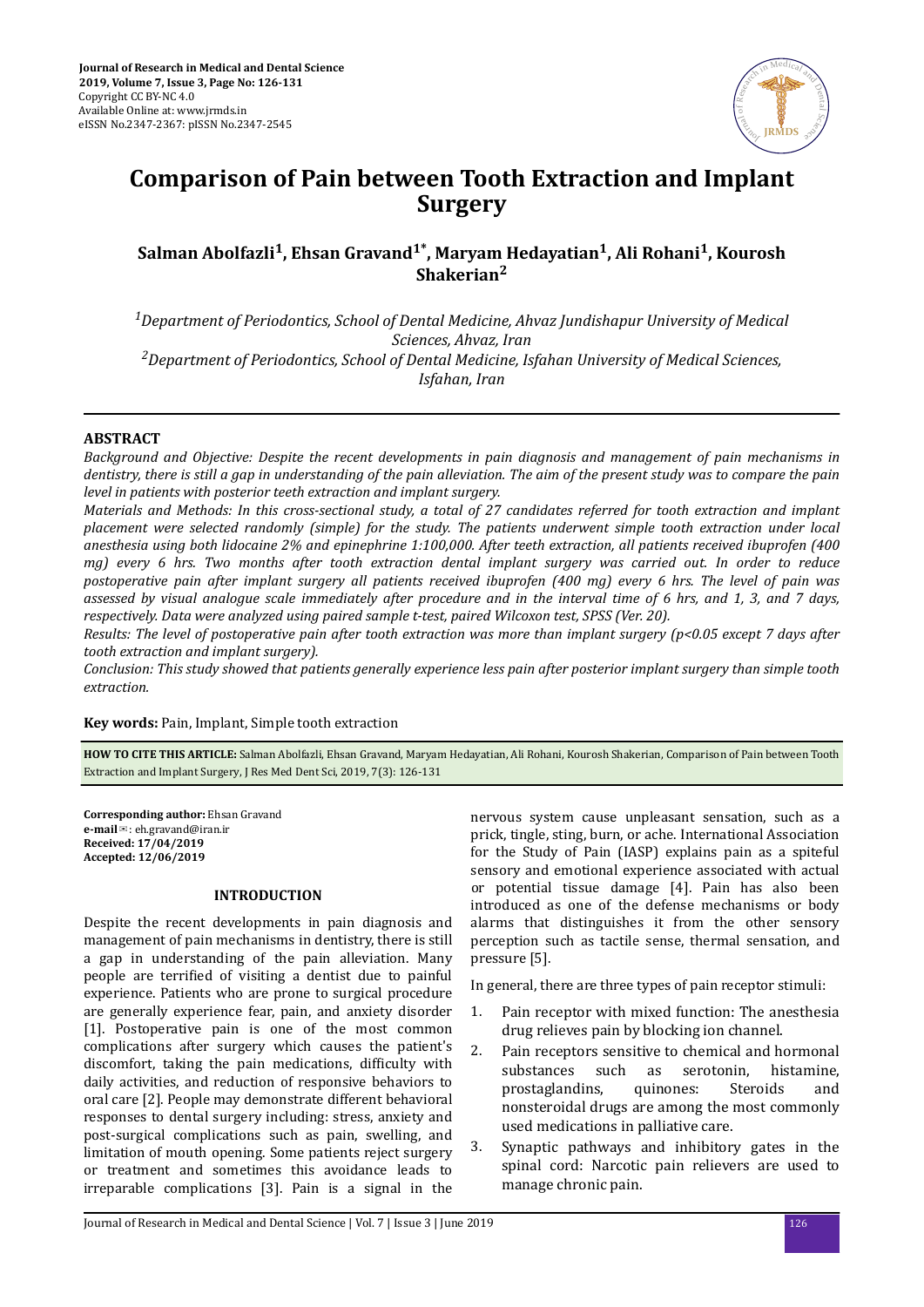

# **Comparison of Pain between Tooth Extraction and Implant Surgery**

# **Salman Abolfazli<sup>1</sup> , Ehsan Gravand1\*, Maryam Hedayatian<sup>1</sup> , Ali Rohani<sup>1</sup> , Kourosh Shakerian<sup>2</sup>**

*<sup>1</sup>Department of Periodontics, School of Dental Medicine, Ahvaz Jundishapur University of Medical Sciences, Ahvaz, Iran <sup>2</sup>Department of Periodontics, School of Dental Medicine, Isfahan University of Medical Sciences, Isfahan, Iran*

## **ABSTRACT**

*Background and Objective: Despite the recent developments in pain diagnosis and management of pain mechanisms in dentistry, there is still a gap in understanding of the pain alleviation. The aim of the present study was to compare the pain level in patients with posterior teeth extraction and implant surgery.*

*Materials and Methods: In this cross-sectional study, a total of 27 candidates referred for tooth extraction and implant placement were selected randomly (simple) for the study. The patients underwent simple tooth extraction under local anesthesia using both lidocaine 2% and epinephrine 1:100,000. After teeth extraction, all patients received ibuprofen (400 mg) every 6 hrs. Two months after tooth extraction dental implant surgery was carried out. In order to reduce postoperative pain after implant surgery all patients received ibuprofen (400 mg) every 6 hrs. The level of pain was assessed by visual analogue scale immediately after procedure and in the interval time of 6 hrs, and 1, 3, and 7 days, respectively. Data were analyzed using paired sample t-test, paired Wilcoxon test, SPSS (Ver. 20).*

*Results: The level of postoperative pain after tooth extraction was more than implant surgery (p<0.05 except 7 days after tooth extraction and implant surgery).*

*Conclusion: This study showed that patients generally experience less pain after posterior implant surgery than simple tooth extraction.*

**Key words:** Pain, Implant, Simple tooth extraction

**HOW TO CITE THIS ARTICLE:** Salman Abolfazli, Ehsan Gravand, Maryam Hedayatian, Ali Rohani, Kourosh Shakerian, Comparison of Pain between Tooth Extraction and Implant Surgery, J Res Med Dent Sci, 2019, 7(3): 126-131

**Corresponding author:** Ehsan Gravand **e-mail**✉: eh.gravand@iran.ir **Received: 17/04/2019 Accepted: 12/06/2019**

### **INTRODUCTION**

Despite the recent developments in pain diagnosis and management of pain mechanisms in dentistry, there is still a gap in understanding of the pain alleviation. Many people are terrified of visiting a dentist due to painful experience. Patients who are prone to surgical procedure are generally experience fear, pain, and anxiety disorder [1]. Postoperative pain is one of the most common complications after surgery which causes the patient's discomfort, taking the pain medications, difficulty with daily activities, and reduction of responsive behaviors to oral care [2]. People may demonstrate different behavioral responses to dental surgery including: stress, anxiety and post-surgical complications such as pain, swelling, and limitation of mouth opening. Some patients reject surgery or treatment and sometimes this avoidance leads to irreparable complications [3]. Pain is a signal in the nervous system cause unpleasant sensation, such as a prick, tingle, sting, burn, or ache. International Association for the Study of Pain (IASP) explains pain as a spiteful sensory and emotional experience associated with actual or potential tissue damage [4]. Pain has also been introduced as one of the defense mechanisms or body alarms that distinguishes it from the other sensory perception such as tactile sense, thermal sensation, and pressure [5].

In general, there are three types of pain receptor stimuli:

- 1. Pain receptor with mixed function: The anesthesia drug relieves pain by blocking ion channel.
- 2. Pain receptors sensitive to chemical and hormonal substances such as serotonin, histamine, prostaglandins, quinones: Steroids and nonsteroidal drugs are among the most commonly used medications in palliative care.
- 3. Synaptic pathways and inhibitory gates in the spinal cord: Narcotic pain relievers are used to manage chronic pain.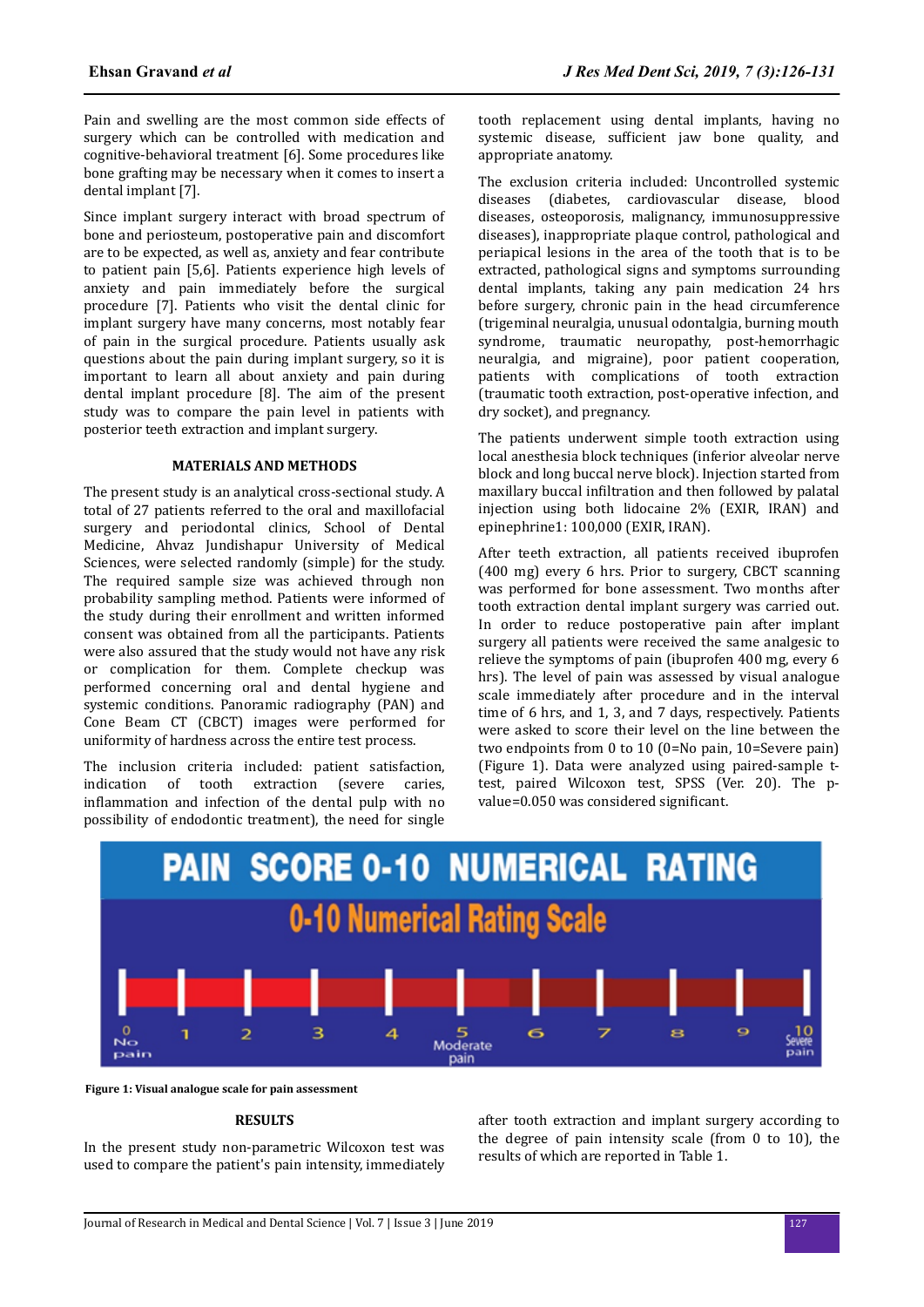Pain and swelling are the most common side effects of surgery which can be controlled with medication and cognitive-behavioral treatment [6]. Some procedures like bone grafting may be necessary when it comes to insert a dental implant [7].

Since implant surgery interact with broad spectrum of bone and periosteum, postoperative pain and discomfort are to be expected, as well as, anxiety and fear contribute to patient pain [5,6]. Patients experience high levels of anxiety and pain immediately before the surgical procedure [7]. Patients who visit the dental clinic for implant surgery have many concerns, most notably fear of pain in the surgical procedure. Patients usually ask questions about the pain during implant surgery, so it is important to learn all about anxiety and pain during dental implant procedure [8]. The aim of the present study was to compare the pain level in patients with posterior teeth extraction and implant surgery.

### **MATERIALS AND METHODS**

The present study is an analytical cross-sectional study. A total of 27 patients referred to the oral and maxillofacial surgery and periodontal clinics, School of Dental Medicine, Ahvaz Jundishapur University of Medical Sciences, were selected randomly (simple) for the study. The required sample size was achieved through non probability sampling method. Patients were informed of the study during their enrollment and written informed consent was obtained from all the participants. Patients were also assured that the study would not have any risk or complication for them. Complete checkup was performed concerning oral and dental hygiene and systemic conditions. Panoramic radiography (PAN) and Cone Beam CT (CBCT) images were performed for uniformity of hardness across the entire test process.

The inclusion criteria included: patient satisfaction, indication of tooth extraction (severe caries, inflammation and infection of the dental pulp with no possibility of endodontic treatment), the need for single

tooth replacement using dental implants, having no systemic disease, sufficient jaw bone quality, and appropriate anatomy.

The exclusion criteria included: Uncontrolled systemic diseases (diabetes, cardiovascular disease, blood diseases, osteoporosis, malignancy, immunosuppressive diseases), inappropriate plaque control, pathological and periapical lesions in the area of the tooth that is to be extracted, pathological signs and symptoms surrounding dental implants, taking any pain medication 24 hrs before surgery, chronic pain in the head circumference (trigeminal neuralgia, unusual odontalgia, burning mouth syndrome, traumatic neuropathy, post-hemorrhagic neuralgia, and migraine), poor patient cooperation, patients with complications of tooth extraction (traumatic tooth extraction, post-operative infection, and dry socket), and pregnancy.

The patients underwent simple tooth extraction using local anesthesia block techniques (inferior alveolar nerve block and long buccal nerve block). Injection started from maxillary buccal infiltration and then followed by palatal injection using both lidocaine 2% (EXIR, IRAN) and epinephrine1: 100,000 (EXIR, IRAN).

After teeth extraction, all patients received ibuprofen (400 mg) every 6 hrs. Prior to surgery, CBCT scanning was performed for bone assessment. Two months after tooth extraction dental implant surgery was carried out. In order to reduce postoperative pain after implant surgery all patients were received the same analgesic to relieve the symptoms of pain (ibuprofen 400 mg, every 6 hrs). The level of pain was assessed by visual analogue scale immediately after procedure and in the interval time of 6 hrs, and 1, 3, and 7 days, respectively. Patients were asked to score their level on the line between the two endpoints from 0 to 10 (0=No pain, 10=Severe pain) (Figure 1). Data were analyzed using paired-sample ttest, paired Wilcoxon test, SPSS (Ver. 20). The pvalue=0.050 was considered significant.



**Figure 1: Visual analogue scale for pain assessment**

#### **RESULTS**

In the present study non-parametric Wilcoxon test was used to compare the patient's pain intensity, immediately

after tooth extraction and implant surgery according to the degree of pain intensity scale (from 0 to 10), the results of which are reported in Table 1.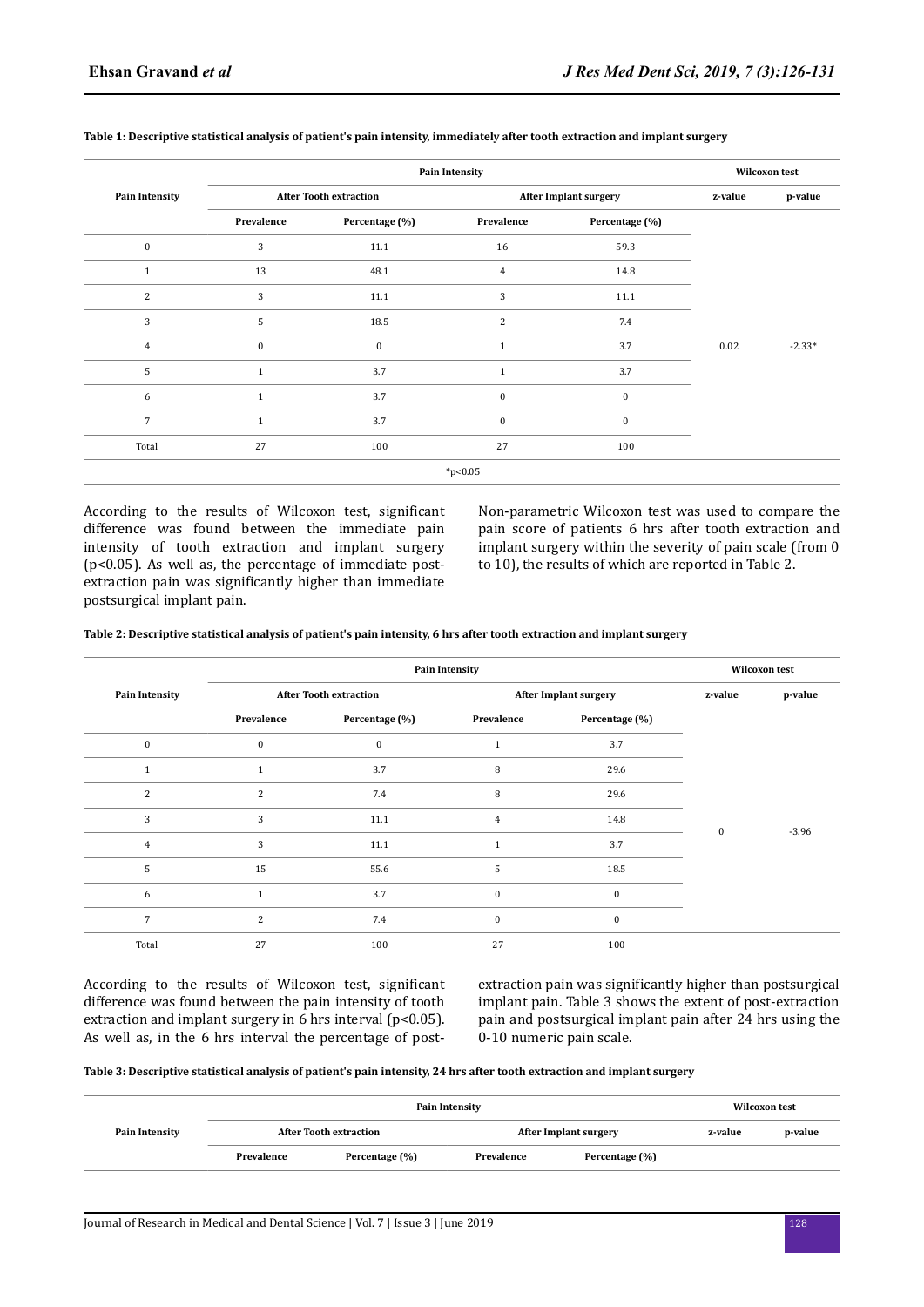|                       |                               |                | <b>Pain Intensity</b>        |                | <b>Wilcoxon test</b> |          |  |
|-----------------------|-------------------------------|----------------|------------------------------|----------------|----------------------|----------|--|
| <b>Pain Intensity</b> | <b>After Tooth extraction</b> |                | <b>After Implant surgery</b> |                | z-value              | p-value  |  |
|                       | Prevalence                    | Percentage (%) | Prevalence                   | Percentage (%) |                      |          |  |
| $\bf{0}$              | 3                             | 11.1           | 16                           | 59.3           |                      |          |  |
| $\mathbf{1}$          | 13                            | 48.1           | $\overline{4}$               | 14.8           |                      |          |  |
| 2                     | 3                             | 11.1           | 3                            | 11.1           |                      |          |  |
| 3                     | 5                             | 18.5           | $\overline{2}$               | 7.4            |                      |          |  |
| $\overline{4}$        | $\mathbf{0}$                  | $\mathbf{0}$   | $\mathbf{1}$                 | 3.7            | 0.02                 | $-2.33*$ |  |
| 5                     | $\mathbf{1}$                  | 3.7            | $\mathbf{1}$                 | 3.7            |                      |          |  |
| 6                     | $\mathbf{1}$                  | 3.7            | $\mathbf{0}$                 | $\mathbf{0}$   |                      |          |  |
| $\overline{7}$        | $\mathbf{1}$                  | 3.7            | $\mathbf{0}$                 | $\mathbf{0}$   |                      |          |  |
| Total                 | 27                            | 100            | 27                           | 100            |                      |          |  |
|                       |                               |                | $*p<0.05$                    |                |                      |          |  |

#### **Table 1: Descriptive statistical analysis of patient's pain intensity, immediately after tooth extraction and implant surgery**

According to the results of Wilcoxon test, significant difference was found between the immediate pain intensity of tooth extraction and implant surgery (p<0.05). As well as, the percentage of immediate postextraction pain was significantly higher than immediate postsurgical implant pain.

Non-parametric Wilcoxon test was used to compare the pain score of patients 6 hrs after tooth extraction and implant surgery within the severity of pain scale (from 0 to 10), the results of which are reported in Table 2.

**Table 2: Descriptive statistical analysis of patient's pain intensity, 6 hrs after tooth extraction and implant surgery**

|                       |                               |                | <b>Pain Intensity</b>        |                | <b>Wilcoxon test</b> |         |  |
|-----------------------|-------------------------------|----------------|------------------------------|----------------|----------------------|---------|--|
| <b>Pain Intensity</b> | <b>After Tooth extraction</b> |                | <b>After Implant surgery</b> |                | z-value              | p-value |  |
|                       | Prevalence                    | Percentage (%) | Prevalence                   | Percentage (%) |                      |         |  |
| $\bf{0}$              | $\boldsymbol{0}$              | $\bf{0}$       | $\mathbf{1}$                 | 3.7            |                      |         |  |
| 1                     | $\mathbf{1}$                  | 3.7            | 8                            | 29.6           | $\mathbf{0}$         | $-3.96$ |  |
| 2                     | $\overline{2}$                | 7.4            | 8                            | 29.6           |                      |         |  |
| 3                     | 3                             | 11.1           | 4                            | 14.8           |                      |         |  |
| $\overline{4}$        | 3                             | 11.1           | $\mathbf{1}$                 | 3.7            |                      |         |  |
| 5                     | 15                            | 55.6           | 5                            | 18.5           |                      |         |  |
| 6                     | $\mathbf{1}$                  | 3.7            | $\bf{0}$                     | $\mathbf{0}$   |                      |         |  |
| $\overline{7}$        | $\overline{2}$                | 7.4            | $\mathbf{0}$                 | $\mathbf{0}$   |                      |         |  |
| Total                 | 27                            | 100            | 27                           | 100            |                      |         |  |

According to the results of Wilcoxon test, significant difference was found between the pain intensity of tooth extraction and implant surgery in 6 hrs interval ( $p$ <0.05). As well as, in the 6 hrs interval the percentage of postextraction pain was significantly higher than postsurgical implant pain. Table 3 shows the extent of post-extraction pain and postsurgical implant pain after 24 hrs using the 0-10 numeric pain scale.

**Table 3: Descriptive statistical analysis of patient's pain intensity, 24 hrs after tooth extraction and implant surgery**

|                | <b>Pain Intensity</b>         |                |                              |                | <b>Wilcoxon test</b> |         |
|----------------|-------------------------------|----------------|------------------------------|----------------|----------------------|---------|
| Pain Intensity | <b>After Tooth extraction</b> |                | <b>After Implant surgery</b> |                | z-value              | p-value |
|                | Prevalence                    | Percentage (%) | Prevalence                   | Percentage (%) |                      |         |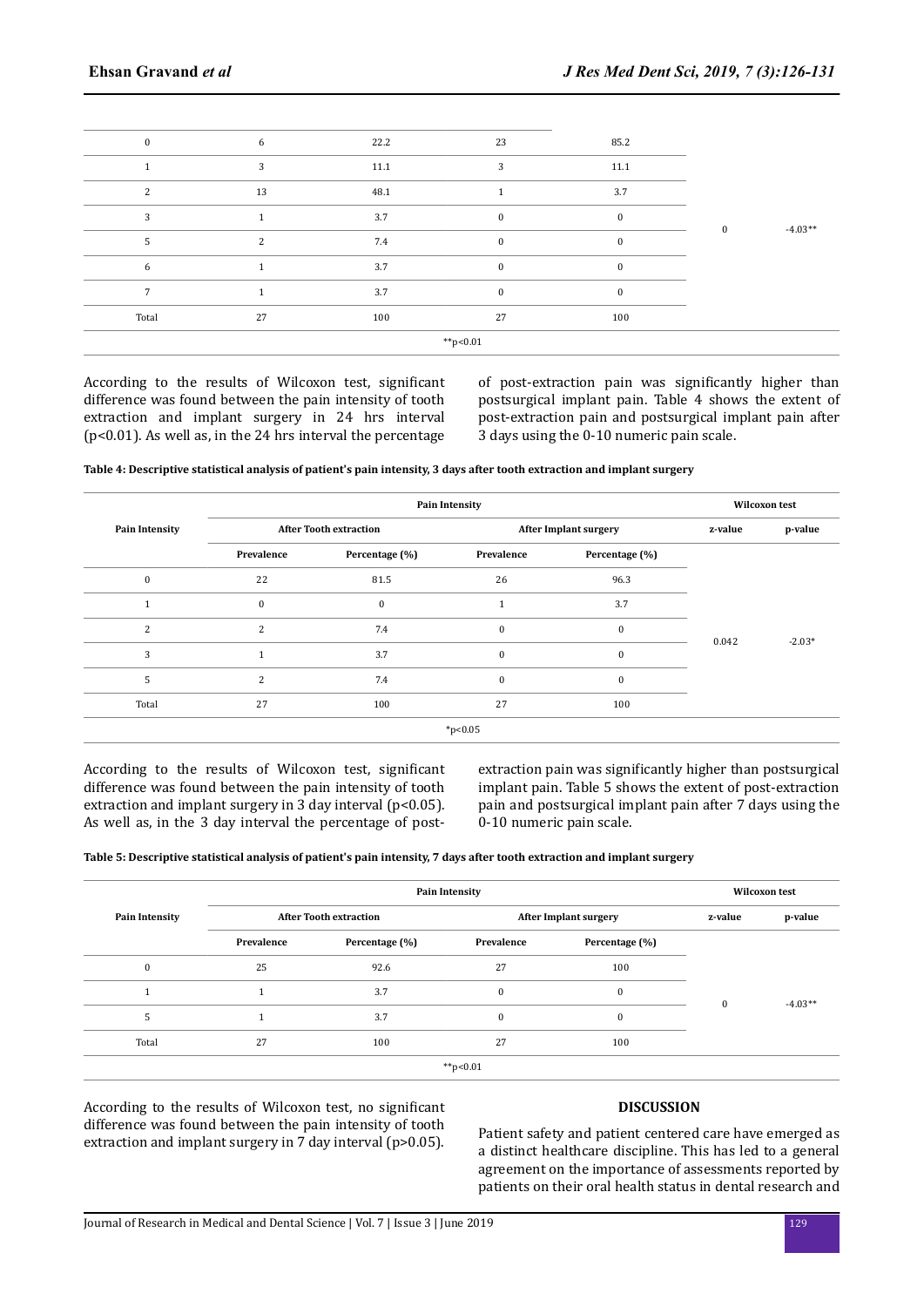| $\mathbf{0}$  | 6  | 22.2 | 23               | 85.2         |              |           |
|---------------|----|------|------------------|--------------|--------------|-----------|
|               | 3  | 11.1 | 3                | 11.1         |              |           |
| $\mathcal{P}$ | 13 | 48.1 |                  | 3.7          |              |           |
| 3             |    | 3.7  | $\boldsymbol{0}$ | $\mathbf{0}$ | $\mathbf{0}$ | $-4.03**$ |
| 5             | 2  | 7.4  | $\boldsymbol{0}$ | $\mathbf{0}$ |              |           |
| 6             |    | 3.7  | $\mathbf{0}$     | $\Omega$     |              |           |
| 7             |    | 3.7  | $\mathbf{0}$     | $\Omega$     |              |           |
| Total         | 27 | 100  | 27               | 100          |              |           |
|               |    |      | $*p<0.01$        |              |              |           |

According to the results of Wilcoxon test, significant difference was found between the pain intensity of tooth extraction and implant surgery in 24 hrs interval (p<0.01). As well as, in the 24 hrs interval the percentage of post-extraction pain was significantly higher than postsurgical implant pain. Table 4 shows the extent of post-extraction pain and postsurgical implant pain after 3 days using the 0-10 numeric pain scale.

**Table 4: Descriptive statistical analysis of patient's pain intensity, 3 days after tooth extraction and implant surgery**

| <b>Pain Intensity</b> |                               | <b>Pain Intensity</b> |                              |                | <b>Wilcoxon test</b> |          |
|-----------------------|-------------------------------|-----------------------|------------------------------|----------------|----------------------|----------|
|                       | <b>After Tooth extraction</b> |                       | <b>After Implant surgery</b> |                | z-value              | p-value  |
|                       | Prevalence                    | Percentage (%)        | Prevalence                   | Percentage (%) |                      |          |
| $\mathbf{0}$          | 22                            | 81.5                  | 26                           | 96.3           | 0.042                | $-2.03*$ |
|                       | $\mathbf{0}$                  | $\mathbf{0}$          |                              | 3.7            |                      |          |
| 2                     | 2                             | 7.4                   | $\mathbf{0}$                 | $\mathbf{0}$   |                      |          |
| 3                     | $\mathbf{1}$                  | 3.7                   | $\mathbf{0}$                 | $\mathbf{0}$   |                      |          |
| 5                     | 2                             | 7.4                   | $\mathbf{0}$                 | $\mathbf{0}$   |                      |          |
| Total                 | 27                            | 100                   | 27                           | 100            |                      |          |
|                       |                               |                       | $*p<0.05$                    |                |                      |          |

According to the results of Wilcoxon test, significant difference was found between the pain intensity of tooth extraction and implant surgery in 3 day interval (p<0.05). As well as, in the 3 day interval the percentage of postextraction pain was significantly higher than postsurgical implant pain. Table 5 shows the extent of post-extraction pain and postsurgical implant pain after 7 days using the 0-10 numeric pain scale.

**Table 5: Descriptive statistical analysis of patient's pain intensity, 7 days after tooth extraction and implant surgery**

| <b>Pain Intensity</b> | <b>Pain Intensity</b>         |                |                              |                | <b>Wilcoxon test</b> |           |
|-----------------------|-------------------------------|----------------|------------------------------|----------------|----------------------|-----------|
|                       | <b>After Tooth extraction</b> |                | <b>After Implant surgery</b> |                | z-value              | p-value   |
|                       | Prevalence                    | Percentage (%) | Prevalence                   | Percentage (%) |                      |           |
| $\mathbf{0}$          | 25                            | 92.6           | 27                           | 100            | $\Omega$             | $-4.03**$ |
|                       | $\mathbf{1}$                  | 3.7            | $\mathbf{0}$                 | $\mathbf{0}$   |                      |           |
| 5                     |                               | 3.7            | $\mathbf{0}$                 | $\mathbf{0}$   |                      |           |
| Total                 | 27                            | 100            | 27                           | 100            |                      |           |
|                       |                               |                | **p<0.01                     |                |                      |           |

According to the results of Wilcoxon test, no significant difference was found between the pain intensity of tooth extraction and implant surgery in 7 day interval (p>0.05).

# **DISCUSSION**

Patient safety and patient centered care have emerged as a distinct healthcare discipline. This has led to a general agreement on the importance of assessments reported by patients on their oral health status in dental research and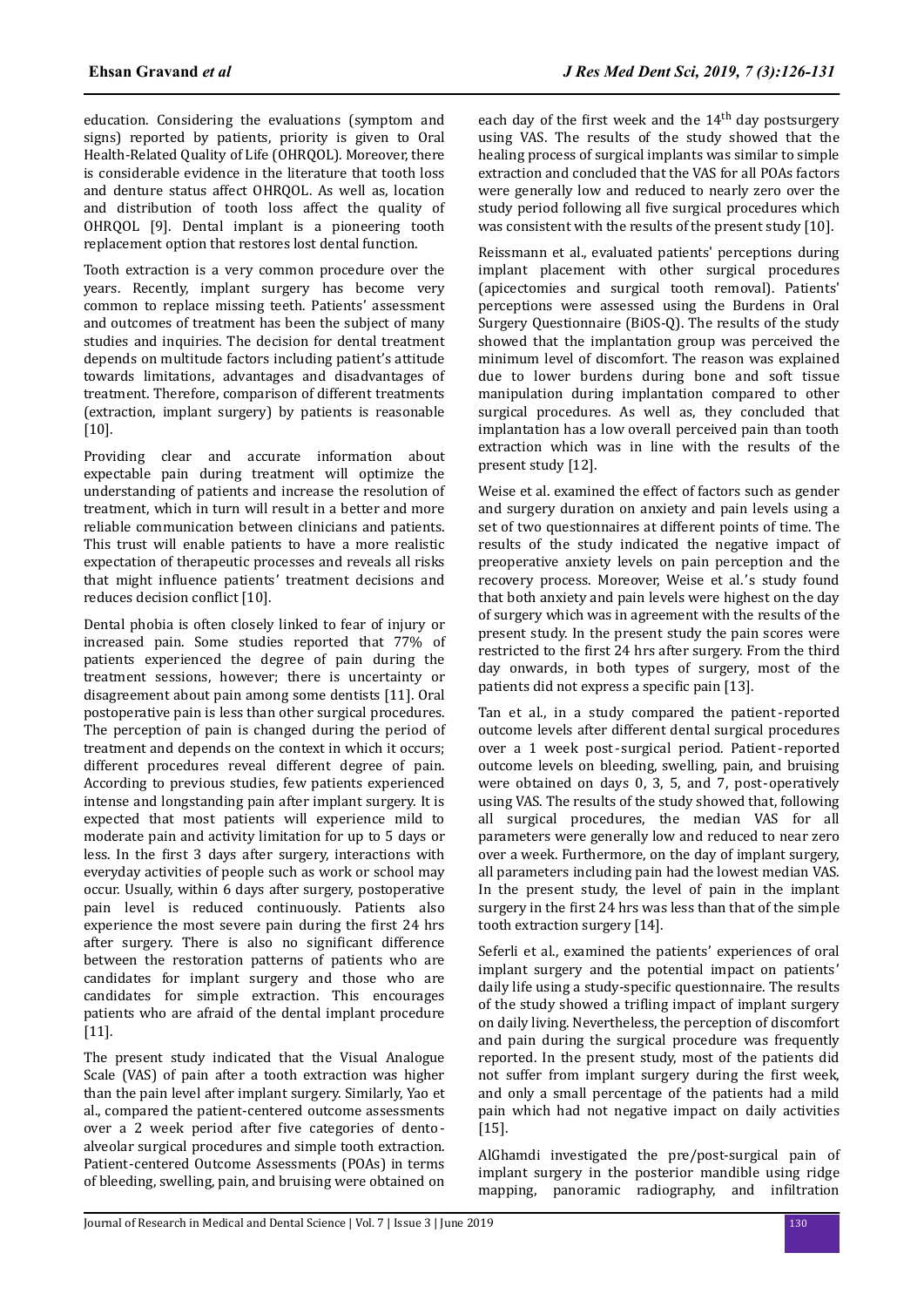education. Considering the evaluations (symptom and signs) reported by patients, priority is given to Oral Health-Related Quality of Life (OHRQOL). Moreover, there is considerable evidence in the literature that tooth loss and denture status affect OHRQOL. As well as, location and distribution of tooth loss affect the quality of OHRQOL [9]. Dental implant is a pioneering tooth replacement option that restores lost dental function.

Tooth extraction is a very common procedure over the years. Recently, implant surgery has become very common to replace missing teeth. Patients' assessment and outcomes of treatment has been the subject of many studies and inquiries. The decision for dental treatment depends on multitude factors including patient's attitude towards limitations, advantages and disadvantages of treatment. Therefore, comparison of different treatments (extraction, implant surgery) by patients is reasonable [10].

Providing clear and accurate information about expectable pain during treatment will optimize the understanding of patients and increase the resolution of treatment, which in turn will result in a better and more reliable communication between clinicians and patients. This trust will enable patients to have a more realistic expectation of therapeutic processes and reveals all risks that might influence patients' treatment decisions and reduces decision conflict [10].

Dental phobia is often closely linked to fear of injury or increased pain. Some studies reported that 77% of patients experienced the degree of pain during the treatment sessions, however; there is uncertainty or disagreement about pain among some dentists [11]. Oral postoperative pain is less than other surgical procedures. The perception of pain is changed during the period of treatment and depends on the context in which it occurs; different procedures reveal different degree of pain. According to previous studies, few patients experienced intense and longstanding pain after implant surgery. It is expected that most patients will experience mild to moderate pain and activity limitation for up to 5 days or less. In the first 3 days after surgery, interactions with everyday activities of people such as work or school may occur. Usually, within 6 days after surgery, postoperative pain level is reduced continuously. Patients also experience the most severe pain during the first 24 hrs after surgery. There is also no significant difference between the restoration patterns of patients who are candidates for implant surgery and those who are candidates for simple extraction. This encourages patients who are afraid of the dental implant procedure [11].

The present study indicated that the Visual Analogue Scale (VAS) of pain after a tooth extraction was higher than the pain level after implant surgery. Similarly, Yao et al., compared the patient-centered outcome assessments over a 2 week period after five categories of dentoalveolar surgical procedures and simple tooth extraction. Patient-centered Outcome Assessments (POAs) in terms of bleeding, swelling, pain, and bruising were obtained on

each day of the first week and the 14<sup>th</sup> day postsurgery using VAS. The results of the study showed that the healing process of surgical implants was similar to simple extraction and concluded that the VAS for all POAs factors were generally low and reduced to nearly zero over the study period following all five surgical procedures which was consistent with the results of the present study [10].

Reissmann et al., evaluated patients' perceptions during implant placement with other surgical procedures (apicectomies and surgical tooth removal). Patients' perceptions were assessed using the Burdens in Oral Surgery Questionnaire (BiOS-Q). The results of the study showed that the implantation group was perceived the minimum level of discomfort. The reason was explained due to lower burdens during bone and soft tissue manipulation during implantation compared to other surgical procedures. As well as, they concluded that implantation has a low overall perceived pain than tooth extraction which was in line with the results of the present study [12].

Weise et al. examined the effect of factors such as gender and surgery duration on anxiety and pain levels using a set of two questionnaires at different points of time. The results of the study indicated the negative impact of preoperative anxiety levels on pain perception and the recovery process. Moreover, Weise et al.'s study found that both anxiety and pain levels were highest on the day of surgery which was in agreement with the results of the present study. In the present study the pain scores were restricted to the first 24 hrs after surgery. From the third day onwards, in both types of surgery, most of the patients did not express a specific pain [13].

Tan et al., in a study compared the patient- reported outcome levels after different dental surgical procedures over a 1 week post- surgical period. Patient- reported outcome levels on bleeding, swelling, pain, and bruising were obtained on days 0, 3, 5, and 7, post-operatively using VAS. The results of the study showed that, following all surgical procedures, the median VAS for all parameters were generally low and reduced to near zero over a week. Furthermore, on the day of implant surgery, all parameters including pain had the lowest median VAS. In the present study, the level of pain in the implant surgery in the first 24 hrs was less than that of the simple tooth extraction surgery [14].

Seferli et al., examined the patients' experiences of oral implant surgery and the potential impact on patients' daily life using a study-specific questionnaire. The results of the study showed a trifling impact of implant surgery on daily living. Nevertheless, the perception of discomfort and pain during the surgical procedure was frequently reported. In the present study, most of the patients did not suffer from implant surgery during the first week, and only a small percentage of the patients had a mild pain which had not negative impact on daily activities [15].

AlGhamdi investigated the pre/post-surgical pain of implant surgery in the posterior mandible using ridge mapping, panoramic radiography, and infiltration